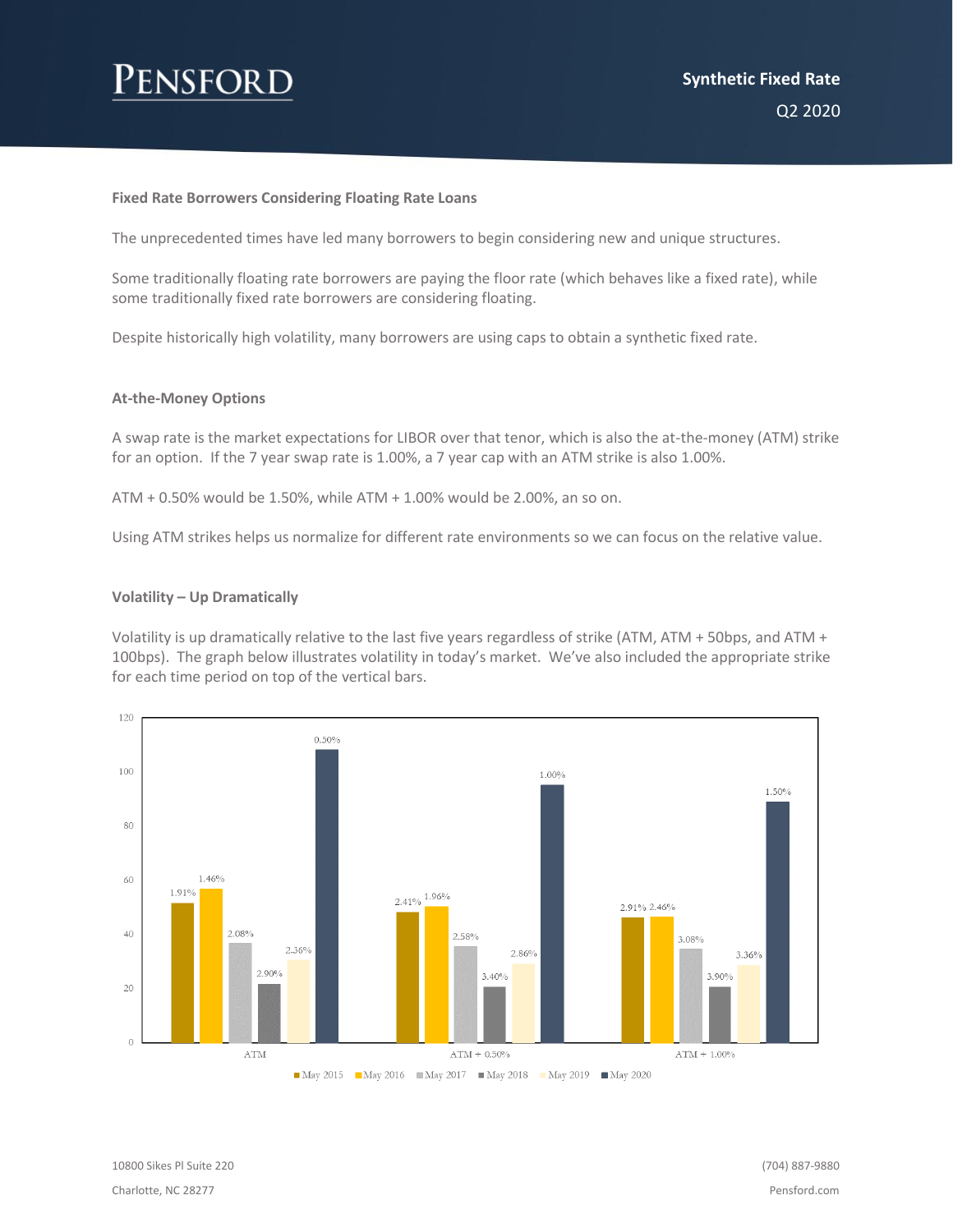### **Fixed Rate Borrowers Considering Floating Rate Loans**

The unprecedented times have led many borrowers to begin considering new and unique structures.

Some traditionally floating rate borrowers are paying the floor rate (which behaves like a fixed rate), while some traditionally fixed rate borrowers are considering floating.

Despite historically high volatility, many borrowers are using caps to obtain a synthetic fixed rate.

### **At-the-Money Options**

A swap rate is the market expectations for LIBOR over that tenor, which is also the at-the-money (ATM) strike for an option. If the 7 year swap rate is 1.00%, a 7 year cap with an ATM strike is also 1.00%.

ATM + 0.50% would be 1.50%, while ATM + 1.00% would be 2.00%, an so on.

Using ATM strikes helps us normalize for different rate environments so we can focus on the relative value.

#### **Volatility – Up Dramatically**

Volatility is up dramatically relative to the last five years regardless of strike (ATM, ATM + 50bps, and ATM + 100bps). The graph below illustrates volatility in today's market. We've also included the appropriate strike for each time period on top of the vertical bars.



10800 Sikes Pl Suite 220 Charlotte, NC 28277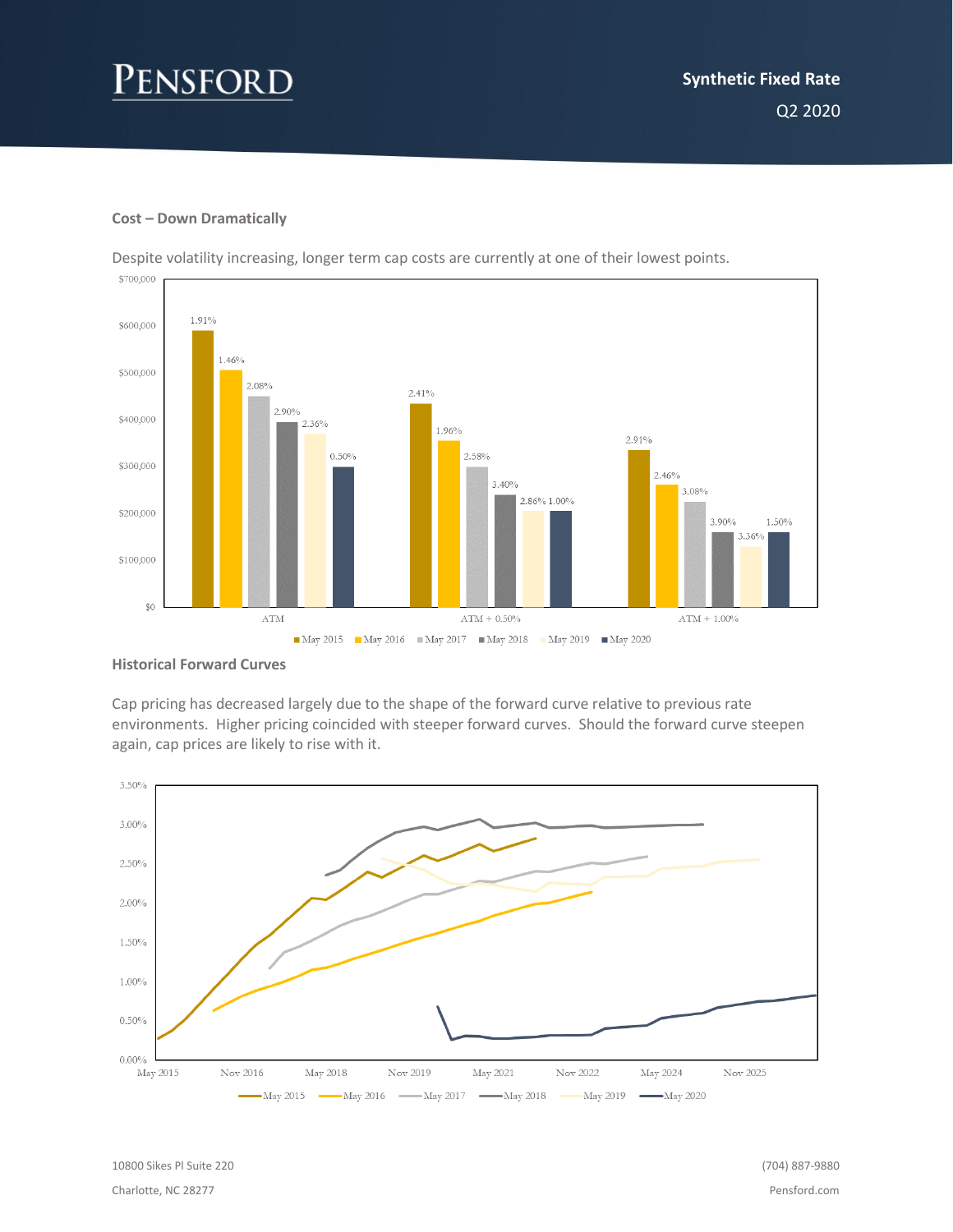## **Cost – Down Dramatically**





#### **Historical Forward Curves**

Cap pricing has decreased largely due to the shape of the forward curve relative to previous rate environments. Higher pricing coincided with steeper forward curves. Should the forward curve steepen again, cap prices are likely to rise with it.

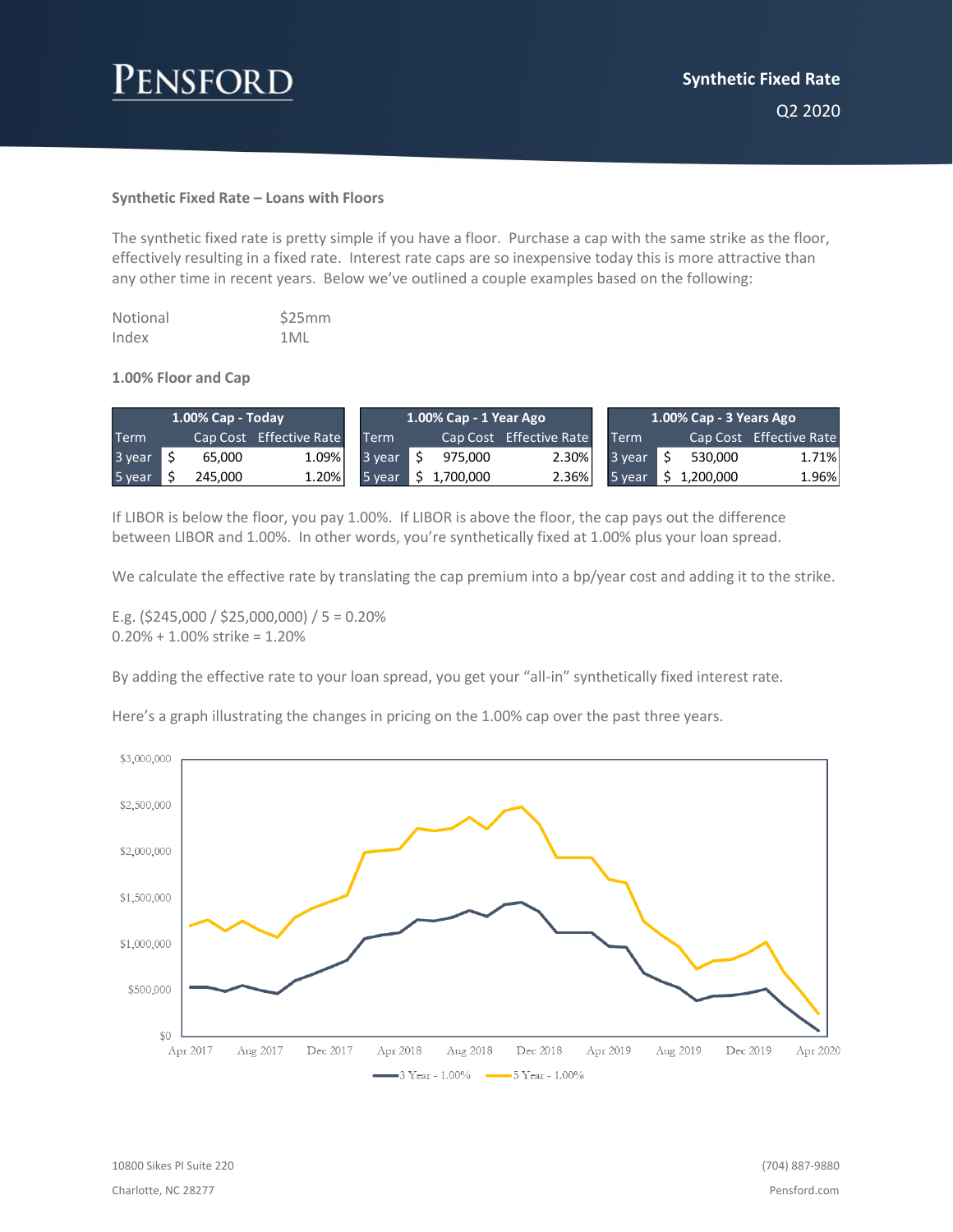# Pensford

## **Synthetic Fixed Rate – Loans with Floors**

The synthetic fixed rate is pretty simple if you have a floor. Purchase a cap with the same strike as the floor, effectively resulting in a fixed rate. Interest rate caps are so inexpensive today this is more attractive than any other time in recent years. Below we've outlined a couple examples based on the following:

| Notional | \$25mm |
|----------|--------|
| Index    | 1MI    |

#### **1.00% Floor and Cap**

| $1.00\%$ Cap - Today |  |         | 1.00% Cap - 1 Year Ago  |        |  |           | 1.00% Cap - 3 Years Ago |             |  |           |                         |
|----------------------|--|---------|-------------------------|--------|--|-----------|-------------------------|-------------|--|-----------|-------------------------|
| <b>Term</b>          |  |         | Cap Cost Effective Rate | Term   |  |           | Cap Cost Effective Rate | <b>Term</b> |  |           | Cap Cost Effective Rate |
| 3 year               |  | 65.000  | 1.09%                   | 3 vear |  | 975.000   | $2.30\%$                | 3 year      |  | 530,000   | 1.71%                   |
| 5 year               |  | 245.000 | 1.20%                   | 5 year |  | 1.700.000 | $2.36\%$                | 5 year.     |  | 1.200.000 | 1.96%                   |

If LIBOR is below the floor, you pay 1.00%. If LIBOR is above the floor, the cap pays out the difference between LIBOR and 1.00%. In other words, you're synthetically fixed at 1.00% plus your loan spread.

We calculate the effective rate by translating the cap premium into a bp/year cost and adding it to the strike.

E.g. (\$245,000 / \$25,000,000) / 5 = 0.20% 0.20% + 1.00% strike = 1.20%

By adding the effective rate to your loan spread, you get your "all-in" synthetically fixed interest rate.

Here's a graph illustrating the changes in pricing on the 1.00% cap over the past three years.

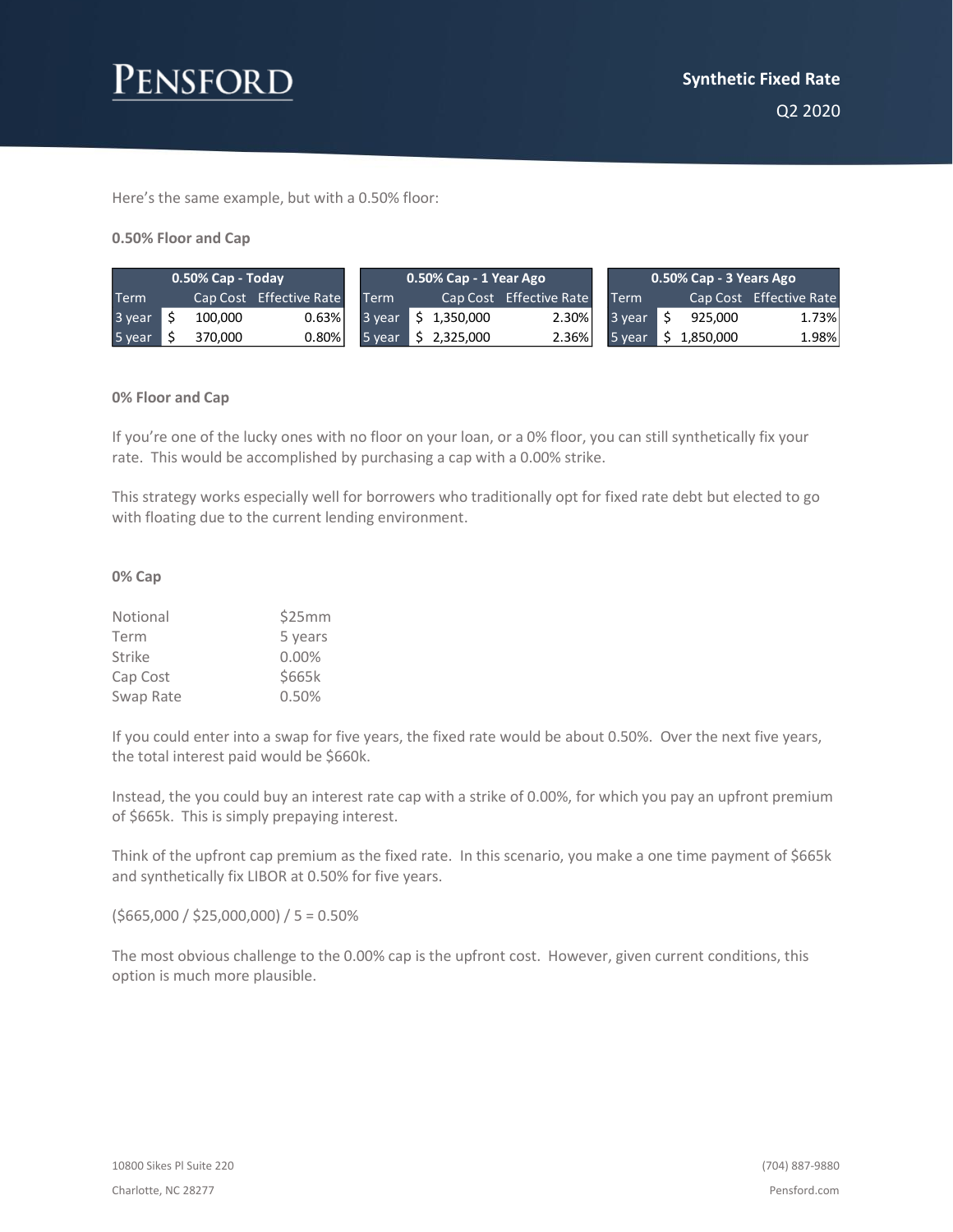

Here's the same example, but with a 0.50% floor:

#### **0.50% Floor and Cap**

| 0.50% Cap - Today |  |         | 0.50% Cap - 1 Year Ago ˈ |        |    |           | , 0.50% Cap - 3 Years Ago ˈ |             |  |           |                         |
|-------------------|--|---------|--------------------------|--------|----|-----------|-----------------------------|-------------|--|-----------|-------------------------|
| <b>Term</b>       |  |         | Cap Cost Effective Rate  | Term   |    |           | Cap Cost Effective Rate     | <b>Term</b> |  |           | Cap Cost Effective Rate |
| 3 year            |  | 100.000 | 0.63%                    | 3 year | S. | 1,350,000 | 2.30%                       | 3 year      |  | 925,000   | 1.73%                   |
| 5 year            |  | 370,000 | 0.80%                    | 5 year |    | 2,325,000 | 2.36%                       | 5 year      |  | 1,850,000 | 1.98%                   |

#### **0% Floor and Cap**

If you're one of the lucky ones with no floor on your loan, or a 0% floor, you can still synthetically fix your rate. This would be accomplished by purchasing a cap with a 0.00% strike.

This strategy works especially well for borrowers who traditionally opt for fixed rate debt but elected to go with floating due to the current lending environment.

#### **0% Cap**

| Notional  | \$25mm  |  |  |  |  |
|-----------|---------|--|--|--|--|
| Term      | 5 years |  |  |  |  |
| Strike    | 0.00%   |  |  |  |  |
| Cap Cost  | \$665k  |  |  |  |  |
| Swap Rate | 0.50%   |  |  |  |  |

If you could enter into a swap for five years, the fixed rate would be about 0.50%. Over the next five years, the total interest paid would be \$660k.

Instead, the you could buy an interest rate cap with a strike of 0.00%, for which you pay an upfront premium of \$665k. This is simply prepaying interest.

Think of the upfront cap premium as the fixed rate. In this scenario, you make a one time payment of \$665k and synthetically fix LIBOR at 0.50% for five years.

 $( $665,000 / $25,000,000) / 5 = 0.50\%$ 

The most obvious challenge to the 0.00% cap is the upfront cost. However, given current conditions, this option is much more plausible.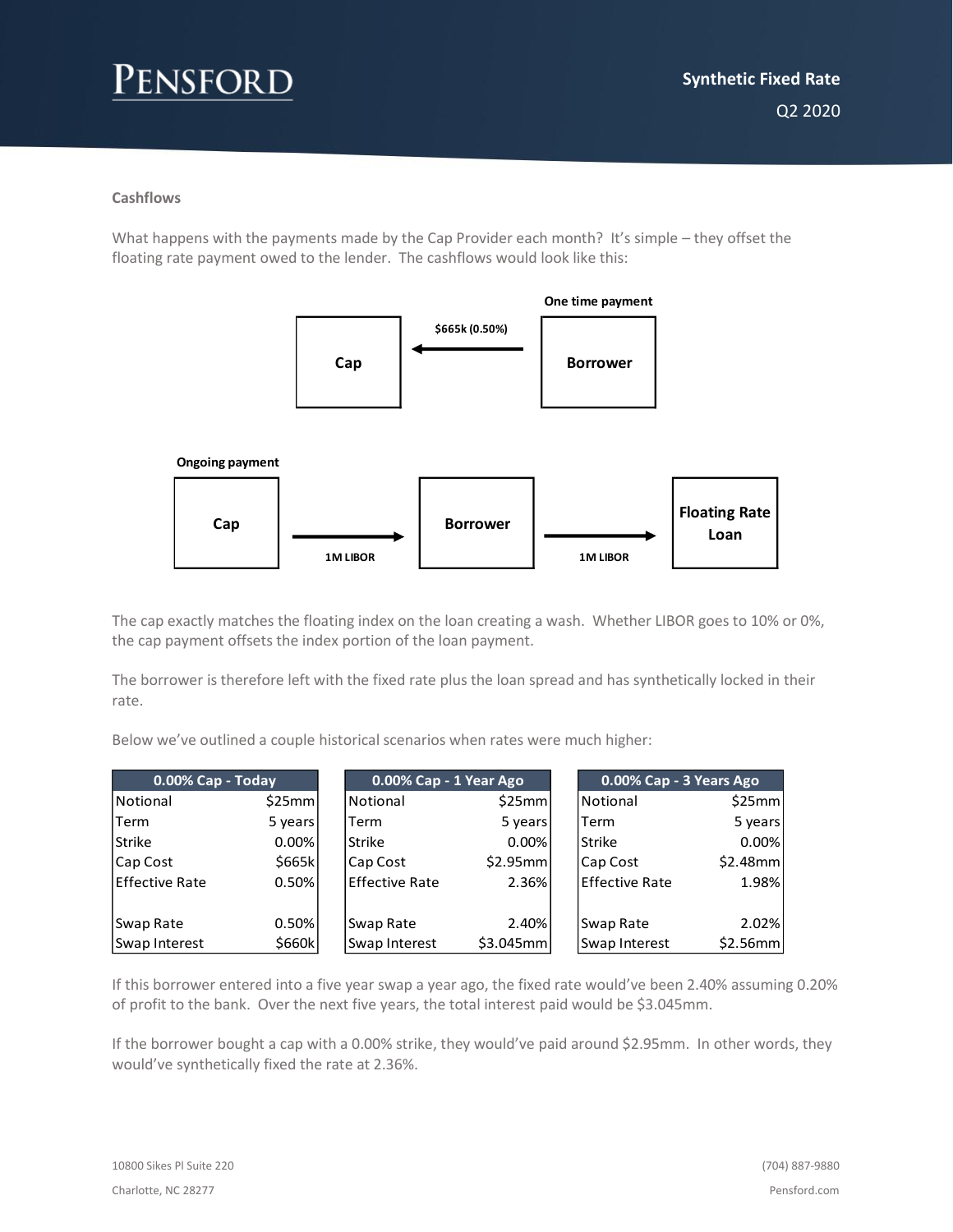## **Cashflows**

What happens with the payments made by the Cap Provider each month? It's simple – they offset the floating rate payment owed to the lender. The cashflows would look like this:



The cap exactly matches the floating index on the loan creating a wash. Whether LIBOR goes to 10% or 0%, the cap payment offsets the index portion of the loan payment.

The borrower is therefore left with the fixed rate plus the loan spread and has synthetically locked in their rate.

Below we've outlined a couple historical scenarios when rates were much higher:

| 0.00% Cap - Today |          | 0.00% Cap - 1 Year Ago |           | 0.00% Cap - 3 Years Ago |          |
|-------------------|----------|------------------------|-----------|-------------------------|----------|
| Notional          | \$25mm   | Notional               | \$25mm    | Notional                | \$25mm   |
| Term              | 5 years  | Term                   | 5 years   | Term                    | 5 years  |
| <b>Strike</b>     | $0.00\%$ | <b>Strike</b>          | $0.00\%$  | <b>Strike</b>           | 0.00%    |
| Cap Cost          | \$665k   | Cap Cost               | \$2.95mm  | Cap Cost                | \$2.48mm |
| lEffective Rate   | 0.50%    | <b>Effective Rate</b>  | 2.36%     | <b>Effective Rate</b>   | 1.98%    |
|                   |          |                        |           |                         |          |
| Swap Rate         | 0.50%    | Swap Rate              | 2.40%     | Swap Rate               | 2.02%    |
| Swap Interest     | \$660k   | Swap Interest          | \$3.045mm | Swap Interest           | \$2.56mm |

If this borrower entered into a five year swap a year ago, the fixed rate would've been 2.40% assuming 0.20% of profit to the bank. Over the next five years, the total interest paid would be \$3.045mm.

If the borrower bought a cap with a 0.00% strike, they would've paid around \$2.95mm. In other words, they would've synthetically fixed the rate at 2.36%.